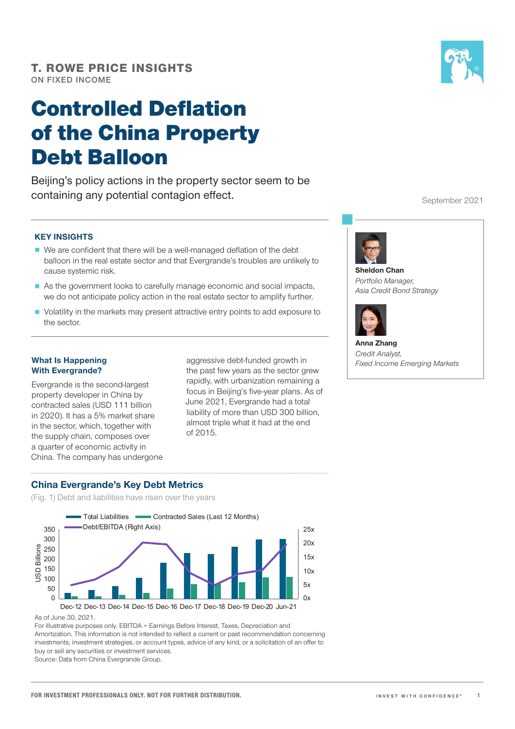# Controlled Deflation of the China Property Debt Balloon

Beijing's policy actions in the property sector seem to be containing any potential contagion effect.



September 2021

#### **KEY INSIGHTS**

- We are confident that there will be a well-managed deflation of the debt balloon in the real estate sector and that Evergrande's troubles are unlikely to cause systemic risk.
- As the government looks to carefully manage economic and social impacts, we do not anticipate policy action in the real estate sector to amplify further.
- Volatility in the markets may present attractive entry points to add exposure to the sector.

#### **What Is Happening With Evergrande?**

Evergrande is the second‑largest property developer in China by contracted sales (USD 111 billion in 2020). It has a 5% market share in the sector, which, together with the supply chain, composes over a quarter of economic activity in China. The company has undergone aggressive debt-funded growth in the past few years as the sector grew rapidly, with urbanization remaining a focus in Beijing's five-year plans. As of June 2021, Evergrande had a total liability of more than USD 300 billion, almost triple what it had at the end of 2015.

# **China Evergrande's Key Debt Metrics**

(Fig. 1) Debt and liabilities have risen over the years



As of June 30, 2021.

For illustrative purposes only. EBITDA = Earnings Before Interest, Taxes, Depreciation and Amortization. This information is not intended to reflect a current or past recommendation concerning investments, investment strategies, or account types, advice of any kind, or a solicitation of an offer to buy or sell any securities or investment services. Source: Data from China Evergrande Group.



**Sheldon Chan** *Portfolio Manager, Asia Credit Bond Strategy* 



**Anna Zhang** *Credit Analyst, Fixed Income Emerging Markets*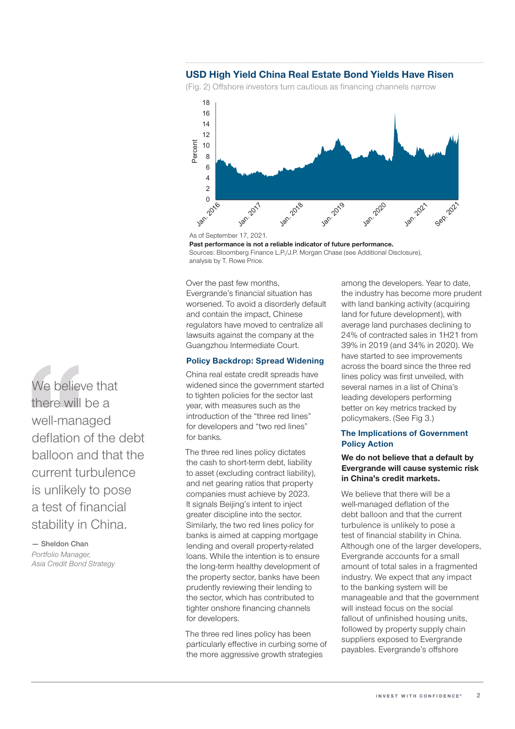### **USD High Yield China Real Estate Bond Yields Have Risen**

(Fig. 2) Offshore investors turn cautious as financing channels narrow



**Past performance is not a reliable indicator of future performance.** Sources: Bloomberg Finance L.P./J.P. Morgan Chase (see Additional Disclosure), analysis by T. Rowe Price.

Over the past few months,

Evergrande's financial situation has worsened. To avoid a disorderly default and contain the impact, Chinese regulators have moved to centralize all lawsuits against the company at the Guangzhou Intermediate Court.

#### **Policy Backdrop: Spread Widening**

China real estate credit spreads have widened since the government started to tighten policies for the sector last year, with measures such as the introduction of the "three red lines" for developers and "two red lines" for banks.

The three red lines policy dictates the cash to short-term debt, liability to asset (excluding contract liability), and net gearing ratios that property companies must achieve by 2023. It signals Beijing's intent to inject greater discipline into the sector. Similarly, the two red lines policy for banks is aimed at capping mortgage lending and overall property‑related loans. While the intention is to ensure the long-term healthy development of the property sector, banks have been prudently reviewing their lending to the sector, which has contributed to tighter onshore financing channels for developers.

The three red lines policy has been particularly effective in curbing some of the more aggressive growth strategies

among the developers. Year to date, the industry has become more prudent with land banking activity (acquiring land for future development), with average land purchases declining to 24% of contracted sales in 1H21 from 39% in 2019 (and 34% in 2020). We have started to see improvements across the board since the three red lines policy was first unveiled, with several names in a list of China's leading developers performing better on key metrics tracked by policymakers. (See Fig 3.)

#### **The Implications of Government Policy Action**

#### **We do not believe that a default by Evergrande will cause systemic risk in China's credit markets.**

We believe that there will be a well-managed deflation of the debt balloon and that the current turbulence is unlikely to pose a test of financial stability in China. Although one of the larger developers, Evergrande accounts for a small amount of total sales in a fragmented industry. We expect that any impact to the banking system will be manageable and that the government will instead focus on the social fallout of unfinished housing units, followed by property supply chain suppliers exposed to Evergrande payables. Evergrande's offshore

We believe that there will be a well-managed deflation of the debt balloon and that the current turbulence is unlikely to pose a test of financial stability in China.

**— Sheldon Chan** *Portfolio Manager, Asia Credit Bond Strategy*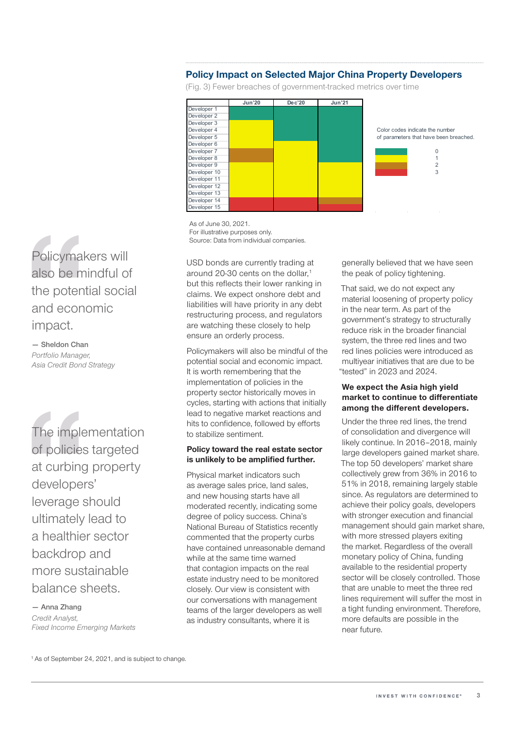## **Policy Impact on Selected Major China Property Developers**

(Fig. 3) Fewer breaches of government-tracked metrics over time



As of June 30, 2021. For illustrative purposes only. Source: Data from individual companies.

USD bonds are currently trading at around 20-30 cents on the dollar.<sup>1</sup> but this reflects their lower ranking in claims. We expect onshore debt and liabilities will have priority in any debt restructuring process, and regulators are watching these closely to help ensure an orderly process.

Policymakers will also be mindful of the potential social and economic impact. It is worth remembering that the implementation of policies in the property sector historically moves in cycles, starting with actions that initially lead to negative market reactions and hits to confidence, followed by efforts to stabilize sentiment.

#### **Policy toward the real estate sector is unlikely to be amplified further.**

Physical market indicators such as average sales price, land sales, and new housing starts have all moderated recently, indicating some degree of policy success. China's National Bureau of Statistics recently commented that the property curbs have contained unreasonable demand while at the same time warned that contagion impacts on the real estate industry need to be monitored closely. Our view is consistent with our conversations with management teams of the larger developers as well as industry consultants, where it is

generally believed that we have seen the peak of policy tightening.

That said, we do not expect any material loosening of property policy in the near term. As part of the government's strategy to structurally reduce risk in the broader financial system, the three red lines and two red lines policies were introduced as multiyear initiatives that are due to be "tested" in 2023 and 2024.

#### **We expect the Asia high yield market to continue to differentiate among the different developers.**

Under the three red lines, the trend of consolidation and divergence will likely continue. In 2016–2018, mainly large developers gained market share. The top 50 developers' market share collectively grew from 36% in 2016 to 51% in 2018, remaining largely stable since. As regulators are determined to achieve their policy goals, developers with stronger execution and financial management should gain market share, with more stressed players exiting the market. Regardless of the overall monetary policy of China, funding available to the residential property sector will be closely controlled. Those that are unable to meet the three red lines requirement will suffer the most in a tight funding environment. Therefore, more defaults are possible in the near future.

Policymakers will also be mindful of the potential social and economic impact.

**— Sheldon Chan** *Portfolio Manager, Asia Credit Bond Strategy*

The implementation of policies targeted at curbing property developers' leverage should ultimately lead to a healthier sector backdrop and more sustainable balance sheets.

**— Anna Zhang** *Credit Analyst, Fixed Income Emerging Markets*

<sup>1</sup> As of September 24, 2021, and is subject to change.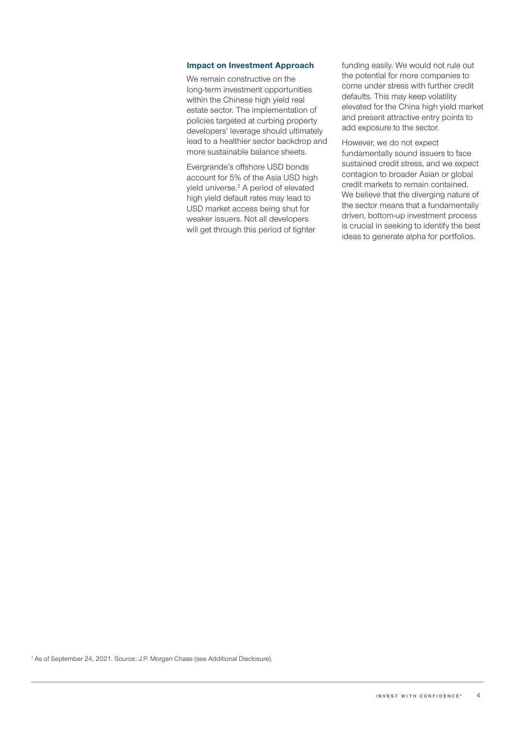#### **Impact on Investment Approach**

We remain constructive on the long-term investment opportunities within the Chinese high yield real estate sector. The implementation of policies targeted at curbing property developers' leverage should ultimately lead to a healthier sector backdrop and more sustainable balance sheets.

Evergrande's offshore USD bonds account for 5% of the Asia USD high yield universe.<sup>2</sup> A period of elevated high yield default rates may lead to USD market access being shut for weaker issuers. Not all developers will get through this period of tighter

funding easily. We would not rule out the potential for more companies to come under stress with further credit defaults. This may keep volatility elevated for the China high yield market and present attractive entry points to add exposure to the sector.

However, we do not expect fundamentally sound issuers to face sustained credit stress, and we expect contagion to broader Asian or global credit markets to remain contained. We believe that the diverging nature of the sector means that a fundamentally driven, bottom‑up investment process is crucial in seeking to identify the best ideas to generate alpha for portfolios.

<sup>1</sup> As of September 24, 2021. Source: J.P. Morgan Chase (see Additional Disclosure).